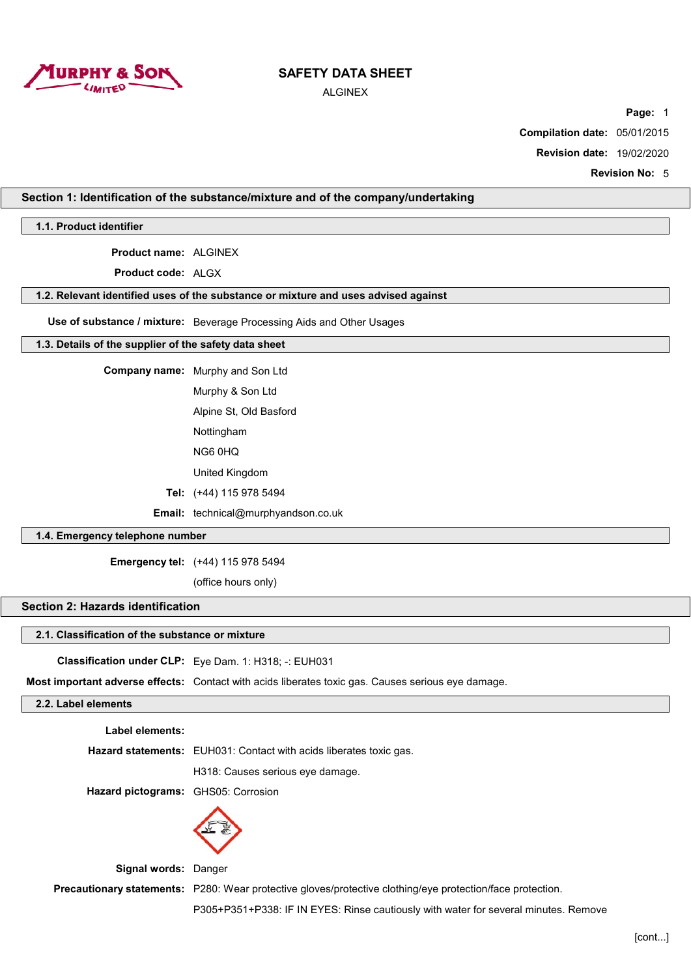

ALGINEX

**Page:** 1

**Compilation date:** 05/01/2015

**Revision date:** 19/02/2020

**Revision No:** 5

### **Section 1: Identification of the substance/mixture and of the company/undertaking**

**1.1. Product identifier**

**Product name:** ALGINEX

**Product code:** ALGX

# **1.2. Relevant identified uses of the substance or mixture and uses advised against**

**Use of substance / mixture:** Beverage Processing Aids and Other Usages

### **1.3. Details of the supplier of the safety data sheet**

**Company name:** Murphy and Son Ltd

Murphy & Son Ltd

Alpine St, Old Basford

Nottingham

NG6 0HQ

United Kingdom

**Tel:** (+44) 115 978 5494

**Email:** technical@murphyandson.co.uk

## **1.4. Emergency telephone number**

**Emergency tel:** (+44) 115 978 5494

(office hours only)

# **Section 2: Hazards identification**

#### **2.1. Classification of the substance or mixture**

**Classification under CLP:** Eye Dam. 1: H318; -: EUH031

**Most important adverse effects:** Contact with acids liberates toxic gas. Causes serious eye damage.

# **2.2. Label elements**

**Label elements:**

**Hazard statements:** EUH031: Contact with acids liberates toxic gas.

H318: Causes serious eye damage.

**Hazard pictograms:** GHS05: Corrosion



**Signal words:** Danger

**Precautionary statements:** P280: Wear protective gloves/protective clothing/eye protection/face protection.

P305+P351+P338: IF IN EYES: Rinse cautiously with water for several minutes. Remove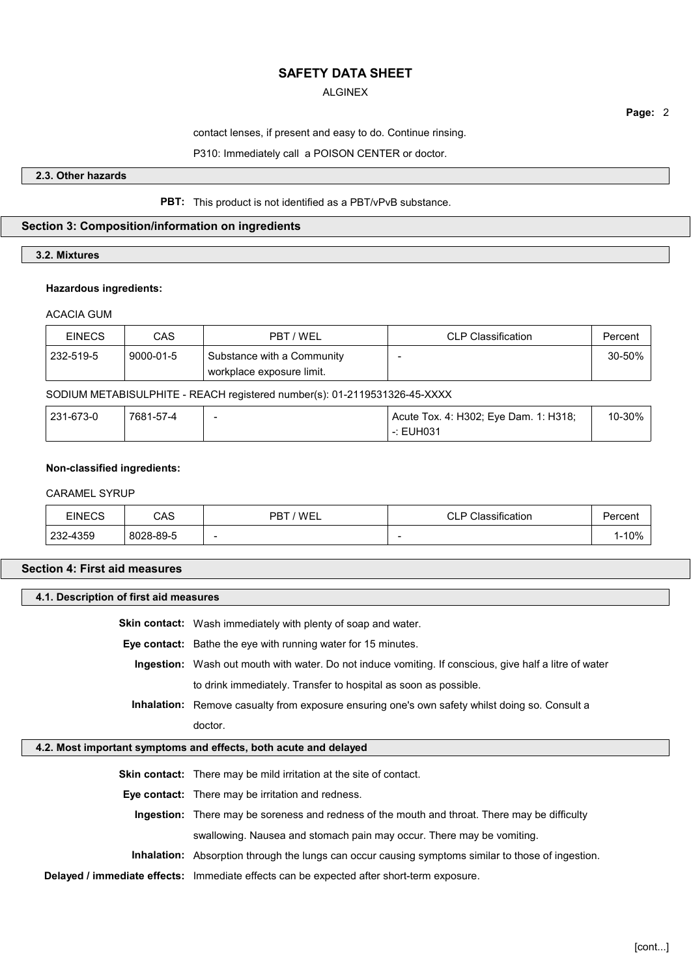## ALGINEX

**Page:** 2

contact lenses, if present and easy to do. Continue rinsing.

P310: Immediately call a POISON CENTER or doctor.

### **2.3. Other hazards**

### **PBT:** This product is not identified as a PBT/vPvB substance.

## **Section 3: Composition/information on ingredients**

## **3.2. Mixtures**

#### **Hazardous ingredients:**

## ACACIA GUM

| <b>EINECS</b> | CAS       | PBT / WEL                                                 | CLP Classification | Percent |
|---------------|-----------|-----------------------------------------------------------|--------------------|---------|
| 232-519-5     | 9000-01-5 | Substance with a Community<br>' workplace exposure limit. | $\sim$             | 30-50%  |

SODIUM METABISULPHITE - REACH registered number(s): 01-2119531326-45-XXXX

| 231-673-0 | 7681-57-4 | Acute Tox. 4: H302; Eye Dam. 1: H318; | 10-30% |
|-----------|-----------|---------------------------------------|--------|
|           |           | -: EUH031                             |        |

### **Non-classified ingredients:**

### CARAMEL SYRUP

| EINECS   | CAS       | 'WEL<br>PBT | CLP.<br>lassification۔<br>$\sim$ | Percent |
|----------|-----------|-------------|----------------------------------|---------|
| 232-4359 | 8028-89-5 | -           | $\sim$                           | 1-10%   |

# **Section 4: First aid measures**

### **4.1. Description of first aid measures**

**Skin contact:** Wash immediately with plenty of soap and water.

**Eye contact:** Bathe the eye with running water for 15 minutes.

**Ingestion:** Wash out mouth with water. Do not induce vomiting. If conscious, give half a litre of water to drink immediately. Transfer to hospital as soon as possible.

**Inhalation:** Remove casualty from exposure ensuring one's own safety whilst doing so. Consult a doctor.

### **4.2. Most important symptoms and effects, both acute and delayed**

**Skin contact:** There may be mild irritation at the site of contact.

**Eye contact:** There may be irritation and redness.

**Ingestion:** There may be soreness and redness of the mouth and throat. There may be difficulty swallowing. Nausea and stomach pain may occur. There may be vomiting.

**Inhalation:** Absorption through the lungs can occur causing symptoms similar to those of ingestion.

**Delayed / immediate effects:** Immediate effects can be expected after short-term exposure.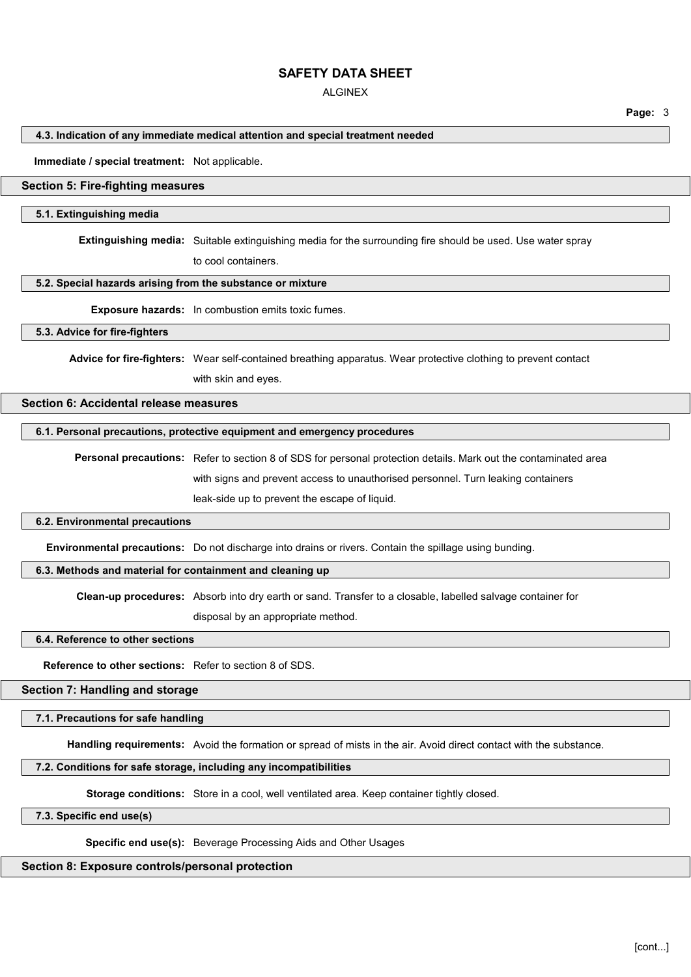### ALGINEX

**Page:** 3

### **4.3. Indication of any immediate medical attention and special treatment needed**

**Immediate / special treatment:** Not applicable.

## **Section 5: Fire-fighting measures**

#### **5.1. Extinguishing media**

**Extinguishing media:** Suitable extinguishing media for the surrounding fire should be used. Use water spray

to cool containers.

#### **5.2. Special hazards arising from the substance or mixture**

**Exposure hazards:** In combustion emits toxic fumes.

#### **5.3. Advice for fire-fighters**

**Advice for fire-fighters:** Wear self-contained breathing apparatus. Wear protective clothing to prevent contact with skin and eyes.

## **Section 6: Accidental release measures**

#### **6.1. Personal precautions, protective equipment and emergency procedures**

**Personal precautions:** Refer to section 8 of SDS for personal protection details. Mark out the contaminated area with signs and prevent access to unauthorised personnel. Turn leaking containers leak-side up to prevent the escape of liquid.

#### **6.2. Environmental precautions**

**Environmental precautions:** Do not discharge into drains or rivers. Contain the spillage using bunding.

### **6.3. Methods and material for containment and cleaning up**

**Clean-up procedures:** Absorb into dry earth or sand. Transfer to a closable, labelled salvage container for

disposal by an appropriate method.

# **6.4. Reference to other sections**

**Reference to other sections:** Refer to section 8 of SDS.

## **Section 7: Handling and storage**

### **7.1. Precautions for safe handling**

**Handling requirements:** Avoid the formation or spread of mists in the air. Avoid direct contact with the substance.

## **7.2. Conditions for safe storage, including any incompatibilities**

**Storage conditions:** Store in a cool, well ventilated area. Keep container tightly closed.

#### **7.3. Specific end use(s)**

**Specific end use(s):** Beverage Processing Aids and Other Usages

#### **Section 8: Exposure controls/personal protection**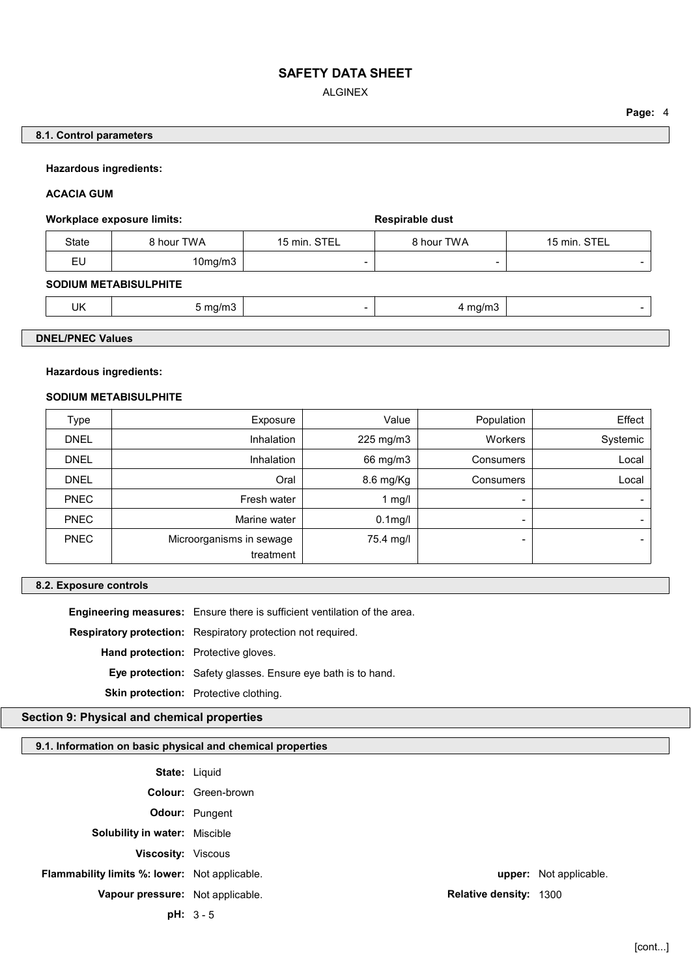ALGINEX

### **Page:** 4

**8.1. Control parameters**

### **Hazardous ingredients:**

**ACACIA GUM**

## Workplace exposure limits: **Workplace exposure limits: Respirable dust**

| State    | } hour TWA | <b>STE</b><br>$15$ min.<br>-- | ` hour TWA | <b>STEI</b><br>15 min.<br>-- |
|----------|------------|-------------------------------|------------|------------------------------|
| e.<br>ΕU | 10mg/m3    | -                             | -          | -                            |

## **SODIUM METABISULPHITE**

| UK<br>.חורה<br><br>,,,,,, |
|---------------------------|
|---------------------------|

# **DNEL/PNEC Values**

## **Hazardous ingredients:**

#### **SODIUM METABISULPHITE**

| Exposure                              | Value      | Population       | Effect                   |
|---------------------------------------|------------|------------------|--------------------------|
| Inhalation                            | 225 mg/m3  | Workers          | Systemic                 |
| Inhalation                            | 66 mg/m3   | <b>Consumers</b> | Local                    |
| Oral                                  | 8.6 mg/Kg  | Consumers        | Local                    |
| Fresh water                           | 1 mg/l     | ۰                | $\qquad \qquad$          |
| Marine water                          | $0.1$ mg/l | -                | $\overline{\phantom{0}}$ |
| Microorganisms in sewage<br>treatment | 75.4 mg/l  | -                | -                        |
|                                       |            |                  |                          |

## **8.2. Exposure controls**

**Engineering measures:** Ensure there is sufficient ventilation of the area.

**Respiratory protection:** Respiratory protection not required.

**Hand protection:** Protective gloves.

**Eye protection:** Safety glasses. Ensure eye bath is to hand.

**Skin protection:** Protective clothing.

# **Section 9: Physical and chemical properties**

## **9.1. Information on basic physical and chemical properties**

|                                                      | <b>State: Liquid</b>       |                        |
|------------------------------------------------------|----------------------------|------------------------|
|                                                      | <b>Colour:</b> Green-brown |                        |
|                                                      | <b>Odour:</b> Pungent      |                        |
| <b>Solubility in water: Miscible</b>                 |                            |                        |
| <b>Viscosity:</b> Viscous                            |                            |                        |
| <b>Flammability limits %: lower:</b> Not applicable. |                            | upper: Not applicable. |
| Vapour pressure: Not applicable.                     | Relative density: 1300     |                        |
|                                                      | $pH: 3 - 5$                |                        |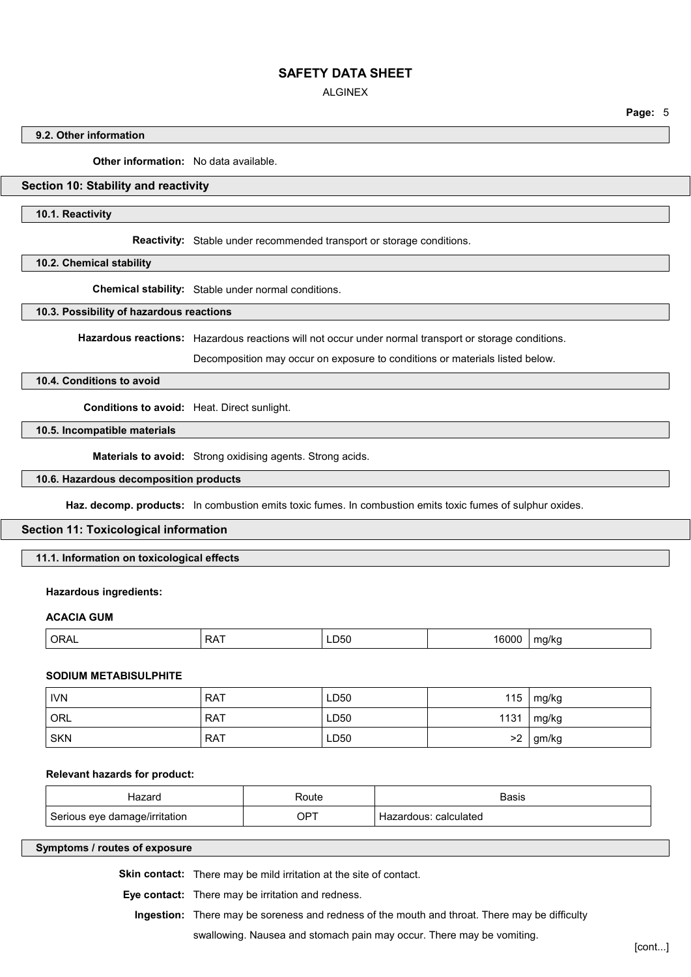ALGINEX

**Page:** 5

### **9.2. Other information**

**Other information:** No data available.

# **Section 10: Stability and reactivity**

**10.1. Reactivity**

**Reactivity:** Stable under recommended transport or storage conditions.

**10.2. Chemical stability**

**Chemical stability:** Stable under normal conditions.

**10.3. Possibility of hazardous reactions**

**Hazardous reactions:** Hazardous reactions will not occur under normal transport or storage conditions.

Decomposition may occur on exposure to conditions or materials listed below.

### **10.4. Conditions to avoid**

**Conditions to avoid:** Heat. Direct sunlight.

**10.5. Incompatible materials**

**Materials to avoid:** Strong oxidising agents. Strong acids.

## **10.6. Hazardous decomposition products**

**Haz. decomp. products:** In combustion emits toxic fumes. In combustion emits toxic fumes of sulphur oxides.

### **Section 11: Toxicological information**

**11.1. Information on toxicological effects**

#### **Hazardous ingredients:**

### **ACACIA GUM**

| ORAL | − ∧ ت<br>v | – 50تـ<br>-- - - | ດດ<br>'nı | a/kc |
|------|------------|------------------|-----------|------|
|      |            |                  |           |      |

### **SODIUM METABISULPHITE**

| <b>IVN</b> | <b>RAT</b> | LD50 | 115 $mg/kg$    |
|------------|------------|------|----------------|
| <b>ORL</b> | <b>RAT</b> | LD50 | 1131   $mg/kg$ |
| <b>SKN</b> | <b>RAT</b> | LD50 | $>2$   gm/kg   |

#### **Relevant hazards for product:**

| Hazard                        | Route       | Basis                      |
|-------------------------------|-------------|----------------------------|
| Serious eye damage/irritation | $OP^{\tau}$ | : calculated<br>Hazardous: |

### **Symptoms / routes of exposure**

**Skin contact:** There may be mild irritation at the site of contact.

**Eye contact:** There may be irritation and redness.

**Ingestion:** There may be soreness and redness of the mouth and throat. There may be difficulty

swallowing. Nausea and stomach pain may occur. There may be vomiting.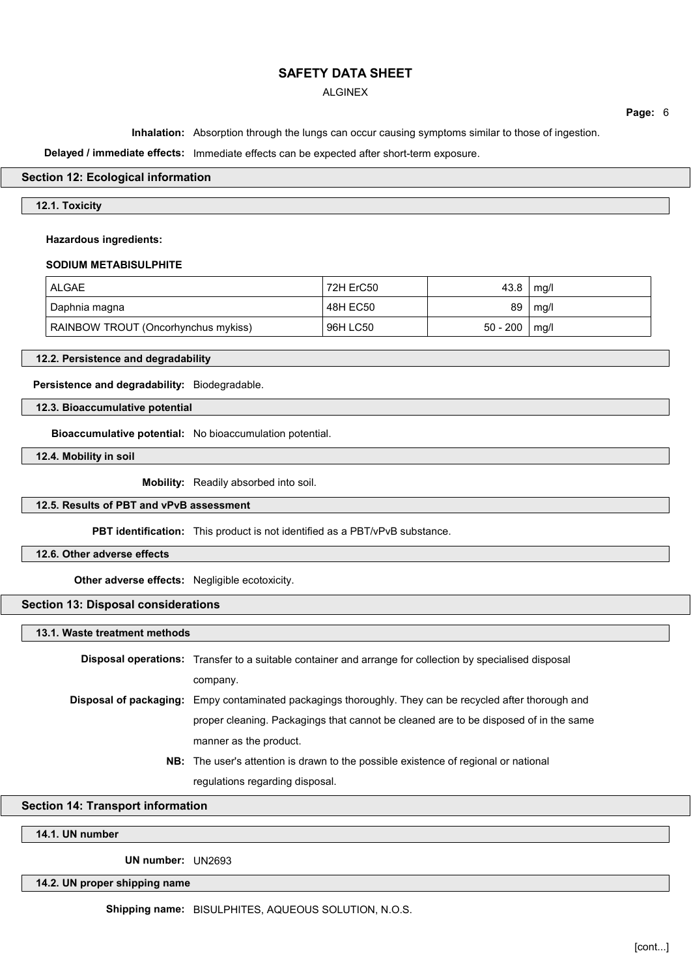## ALGINEX

**Page:** 6

**Inhalation:** Absorption through the lungs can occur causing symptoms similar to those of ingestion.

**Delayed / immediate effects:** Immediate effects can be expected after short-term exposure.

### **Section 12: Ecological information**

## **12.1. Toxicity**

#### **Hazardous ingredients:**

### **SODIUM METABISULPHITE**

| <b>ALGAE</b>                        | 72H ErC50 | 43.8       | mg/l |
|-------------------------------------|-----------|------------|------|
| Daphnia magna                       | 48H EC50  | 89         | mg/l |
| RAINBOW TROUT (Oncorhynchus mykiss) | 96H LC50  | $50 - 200$ | mg/l |

**12.2. Persistence and degradability**

**Persistence and degradability:** Biodegradable.

**12.3. Bioaccumulative potential**

**Bioaccumulative potential:** No bioaccumulation potential.

**12.4. Mobility in soil**

**Mobility:** Readily absorbed into soil.

### **12.5. Results of PBT and vPvB assessment**

**PBT identification:** This product is not identified as a PBT/vPvB substance.

**12.6. Other adverse effects**

**Other adverse effects:** Negligible ecotoxicity.

**Section 13: Disposal considerations**

**13.1. Waste treatment methods**

| <b>Disposal operations:</b> Transfer to a suitable container and arrange for collection by specialised disposal |
|-----------------------------------------------------------------------------------------------------------------|
| company.                                                                                                        |
| <b>Disposal of packaging:</b> Empy contaminated packagings thoroughly. They can be recycled after thorough and  |
| proper cleaning. Packagings that cannot be cleaned are to be disposed of in the same                            |
| manner as the product.                                                                                          |
| <b>NB:</b> The user's attention is drawn to the possible existence of regional or national                      |

regulations regarding disposal.

**Section 14: Transport information**

**14.1. UN number**

**UN number:** UN2693

**14.2. UN proper shipping name**

**Shipping name:** BISULPHITES, AQUEOUS SOLUTION, N.O.S.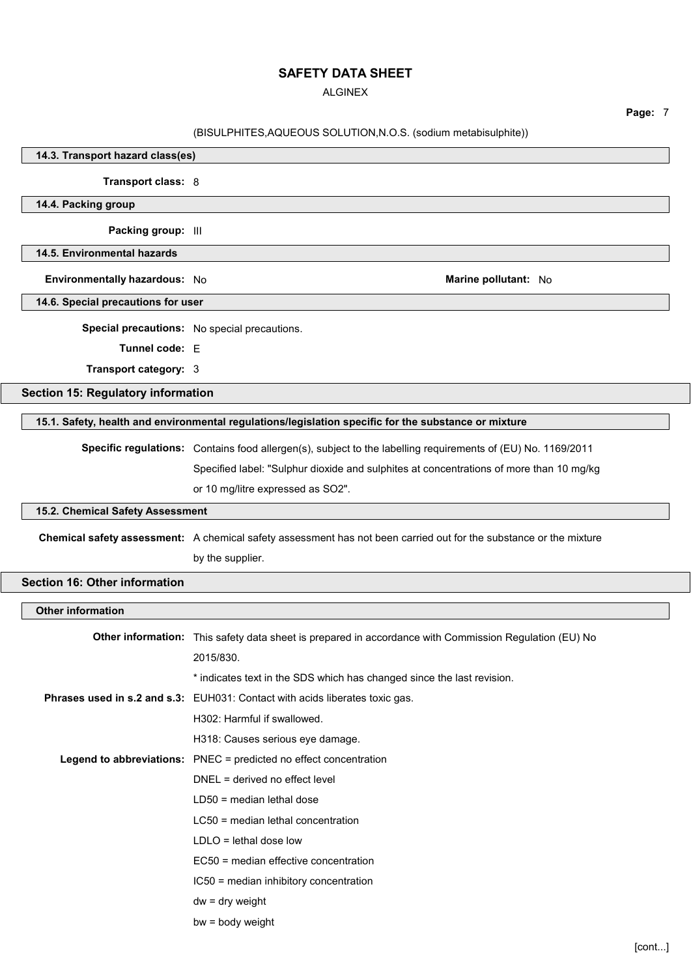ALGINEX

**Page:** 7

# (BISULPHITES,AQUEOUS SOLUTION,N.O.S. (sodium metabisulphite))

| 14.3. Transport hazard class(es)          |                                                                                                                    |
|-------------------------------------------|--------------------------------------------------------------------------------------------------------------------|
| Transport class: 8                        |                                                                                                                    |
| 14.4. Packing group                       |                                                                                                                    |
| Packing group: III                        |                                                                                                                    |
| 14.5. Environmental hazards               |                                                                                                                    |
| Environmentally hazardous: No             | Marine pollutant: No                                                                                               |
| 14.6. Special precautions for user        |                                                                                                                    |
|                                           | Special precautions: No special precautions.                                                                       |
| Tunnel code: E                            |                                                                                                                    |
| Transport category: 3                     |                                                                                                                    |
| <b>Section 15: Regulatory information</b> |                                                                                                                    |
|                                           | 15.1. Safety, health and environmental regulations/legislation specific for the substance or mixture               |
|                                           | Specific regulations: Contains food allergen(s), subject to the labelling requirements of (EU) No. 1169/2011       |
|                                           | Specified label: "Sulphur dioxide and sulphites at concentrations of more than 10 mg/kg                            |
|                                           | or 10 mg/litre expressed as SO2".                                                                                  |
| 15.2. Chemical Safety Assessment          |                                                                                                                    |
|                                           |                                                                                                                    |
|                                           | Chemical safety assessment: A chemical safety assessment has not been carried out for the substance or the mixture |
|                                           | by the supplier.                                                                                                   |
| <b>Section 16: Other information</b>      |                                                                                                                    |
| <b>Other information</b>                  |                                                                                                                    |
|                                           | Other information: This safety data sheet is prepared in accordance with Commission Regulation (EU) No             |
|                                           | 2015/830.                                                                                                          |
|                                           | * indicates text in the SDS which has changed since the last revision.                                             |
|                                           |                                                                                                                    |
|                                           | Phrases used in s.2 and s.3: EUH031: Contact with acids liberates toxic gas.                                       |
|                                           | H302: Harmful if swallowed.                                                                                        |
|                                           | H318: Causes serious eye damage.                                                                                   |
|                                           | Legend to abbreviations: PNEC = predicted no effect concentration                                                  |
|                                           | DNEL = derived no effect level                                                                                     |
|                                           | $LD50$ = median lethal dose                                                                                        |
|                                           | $LC50$ = median lethal concentration                                                                               |
|                                           | $LDLO =$ lethal dose low                                                                                           |
|                                           | EC50 = median effective concentration                                                                              |
|                                           | IC50 = median inhibitory concentration                                                                             |
|                                           | $dw = dry$ weight<br>bw = body weight                                                                              |